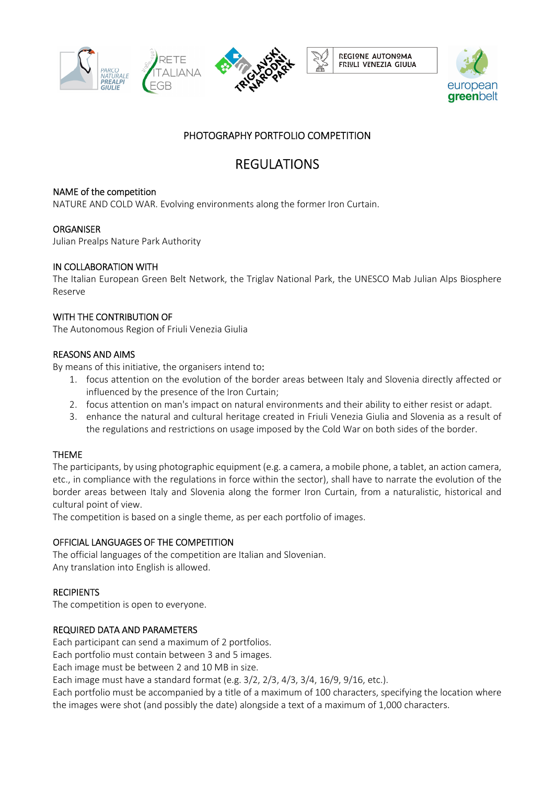



# PHOTOGRAPHY PORTFOLIO COMPETITION

# REGULATIONS

# NAME of the competition

NATURE AND COLD WAR. Evolving environments along the former Iron Curtain.

# **ORGANISER**

Julian Prealps Nature Park Authority

# IN COLLABORATION WITH

The Italian European Green Belt Network, the Triglav National Park, the UNESCO Mab Julian Alps Biosphere Reserve

# WITH THE CONTRIBUTION OF

The Autonomous Region of Friuli Venezia Giulia

# REASONS AND AIMS

By means of this initiative, the organisers intend to:

- 1. focus attention on the evolution of the border areas between Italy and Slovenia directly affected or influenced by the presence of the Iron Curtain;
- 2. focus attention on man's impact on natural environments and their ability to either resist or adapt.
- 3. enhance the natural and cultural heritage created in Friuli Venezia Giulia and Slovenia as a result of the regulations and restrictions on usage imposed by the Cold War on both sides of the border.

# THEME

The participants, by using photographic equipment (e.g. a camera, a mobile phone, a tablet, an action camera, etc., in compliance with the regulations in force within the sector), shall have to narrate the evolution of the border areas between Italy and Slovenia along the former Iron Curtain, from a naturalistic, historical and cultural point of view.

The competition is based on a single theme, as per each portfolio of images.

#### OFFICIAL LANGUAGES OF THE COMPETITION

The official languages of the competition are Italian and Slovenian. Any translation into English is allowed.

#### **RECIPIENTS**

The competition is open to everyone.

#### REQUIRED DATA AND PARAMETERS

Each participant can send a maximum of 2 portfolios.

Each portfolio must contain between 3 and 5 images.

Each image must be between 2 and 10 MB in size.

Each image must have a standard format (e.g. 3/2, 2/3, 4/3, 3/4, 16/9, 9/16, etc.).

Each portfolio must be accompanied by a title of a maximum of 100 characters, specifying the location where the images were shot (and possibly the date) alongside a text of a maximum of 1,000 characters.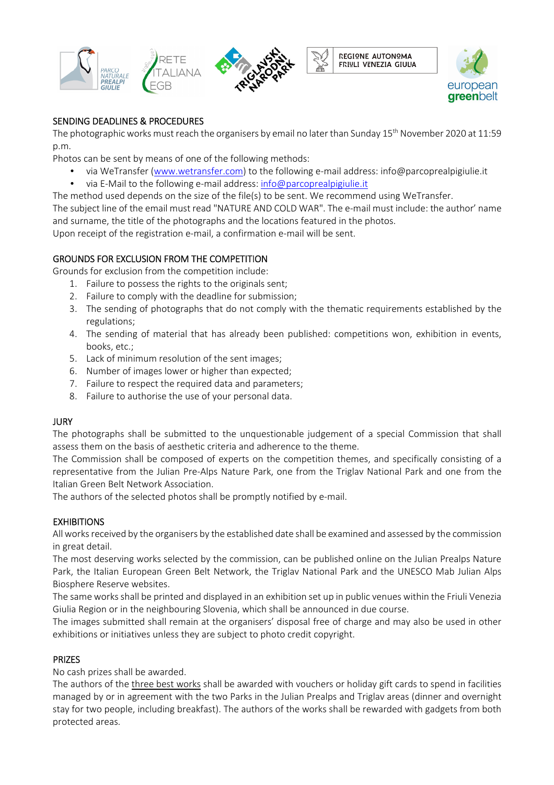







# SENDING DEADLINES & PROCEDURES

The photographic works must reach the organisers by email no later than Sunday 15<sup>th</sup> November 2020 at 11:59 p.m.

Photos can be sent by means of one of the following methods:

- via WeTransfer (www.wetransfer.com) to the following e-mail address: info@parcoprealpigiulie.it
- via E-Mail to the following e-mail address: info@parcoprealpigiulie.it

The method used depends on the size of the file(s) to be sent. We recommend using WeTransfer.

The subject line of the email must read "NATURE AND COLD WAR". The e-mail must include: the author' name and surname, the title of the photographs and the locations featured in the photos.

Upon receipt of the registration e-mail, a confirmation e-mail will be sent.

# GROUNDS FOR EXCLUSION FROM THE COMPETITION

Grounds for exclusion from the competition include:

- 1. Failure to possess the rights to the originals sent;
- 2. Failure to comply with the deadline for submission;
- 3. The sending of photographs that do not comply with the thematic requirements established by the regulations;
- 4. The sending of material that has already been published: competitions won, exhibition in events, books, etc.;
- 5. Lack of minimum resolution of the sent images;
- 6. Number of images lower or higher than expected;
- 7. Failure to respect the required data and parameters;
- 8. Failure to authorise the use of your personal data.

#### **JURY**

The photographs shall be submitted to the unquestionable judgement of a special Commission that shall assess them on the basis of aesthetic criteria and adherence to the theme.

The Commission shall be composed of experts on the competition themes, and specifically consisting of a representative from the Julian Pre-Alps Nature Park, one from the Triglav National Park and one from the Italian Green Belt Network Association.

The authors of the selected photos shall be promptly notified by e-mail.

# **EXHIBITIONS**

All works received by the organisers by the established date shall be examined and assessed by the commission in great detail.

The most deserving works selected by the commission, can be published online on the Julian Prealps Nature Park, the Italian European Green Belt Network, the Triglav National Park and the UNESCO Mab Julian Alps Biosphere Reserve websites.

The same works shall be printed and displayed in an exhibition set up in public venues within the Friuli Venezia Giulia Region or in the neighbouring Slovenia, which shall be announced in due course.

The images submitted shall remain at the organisers' disposal free of charge and may also be used in other exhibitions or initiatives unless they are subject to photo credit copyright.

# PRIZES

No cash prizes shall be awarded.

The authors of the three best works shall be awarded with vouchers or holiday gift cards to spend in facilities managed by or in agreement with the two Parks in the Julian Prealps and Triglav areas (dinner and overnight stay for two people, including breakfast). The authors of the works shall be rewarded with gadgets from both protected areas.